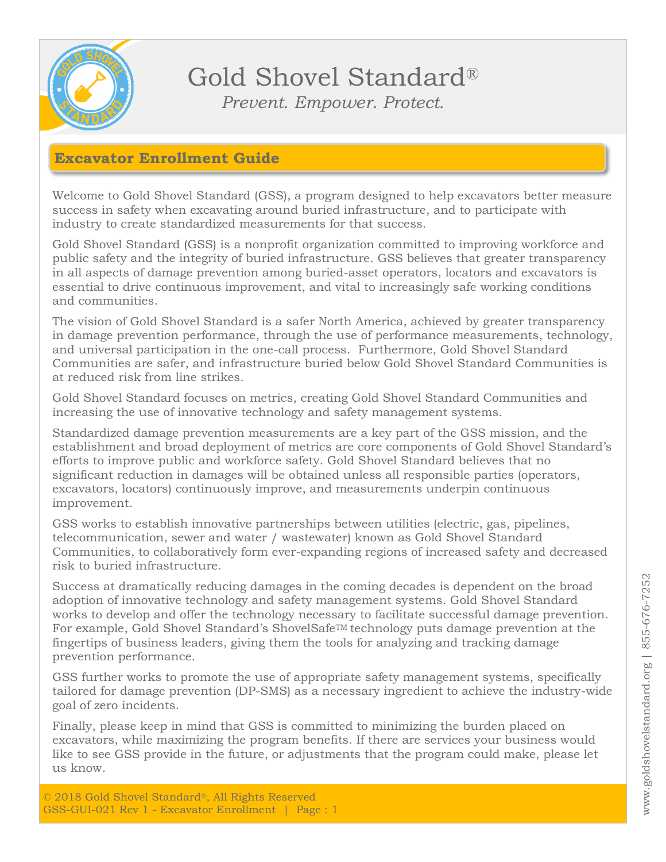

Gold Shovel Standard® *Prevent. Empower. Protect.*

#### **Excavator Enrollment Guide**

Welcome to Gold Shovel Standard (GSS), a program designed to help excavators better measure success in safety when excavating around buried infrastructure, and to participate with industry to create standardized measurements for that success.

Gold Shovel Standard (GSS) is a nonprofit organization committed to improving workforce and public safety and the integrity of buried infrastructure. GSS believes that greater transparency in all aspects of damage prevention among buried-asset operators, locators and excavators is essential to drive continuous improvement, and vital to increasingly safe working conditions and communities.

The vision of Gold Shovel Standard is a safer North America, achieved by greater transparency in damage prevention performance, through the use of performance measurements, technology, and universal participation in the one-call process. Furthermore, Gold Shovel Standard Communities are safer, and infrastructure buried below Gold Shovel Standard Communities is at reduced risk from line strikes.

Gold Shovel Standard focuses on metrics, creating Gold Shovel Standard Communities and increasing the use of innovative technology and safety management systems.

Standardized damage prevention measurements are a key part of the GSS mission, and the establishment and broad deployment of metrics are core components of Gold Shovel Standard's efforts to improve public and workforce safety. Gold Shovel Standard believes that no significant reduction in damages will be obtained unless all responsible parties (operators, excavators, locators) continuously improve, and measurements underpin continuous improvement.

GSS works to establish innovative partnerships between utilities (electric, gas, pipelines, telecommunication, sewer and water / wastewater) known as Gold Shovel Standard Communities, to collaboratively form ever-expanding regions of increased safety and decreased risk to buried infrastructure.

Success at dramatically reducing damages in the coming decades is dependent on the broad adoption of innovative technology and safety management systems. Gold Shovel Standard works to develop and offer the technology necessary to facilitate successful damage prevention. For example, Gold Shovel Standard's ShovelSafeTM technology puts damage prevention at the fingertips of business leaders, giving them the tools for analyzing and tracking damage prevention performance.

GSS further works to promote the use of appropriate safety management systems, specifically tailored for damage prevention (DP-SMS) as a necessary ingredient to achieve the industry-wide goal of zero incidents.

Finally, please keep in mind that GSS is committed to minimizing the burden placed on excavators, while maximizing the program benefits. If there are services your business would like to see GSS provide in the future, or adjustments that the program could make, please let us know.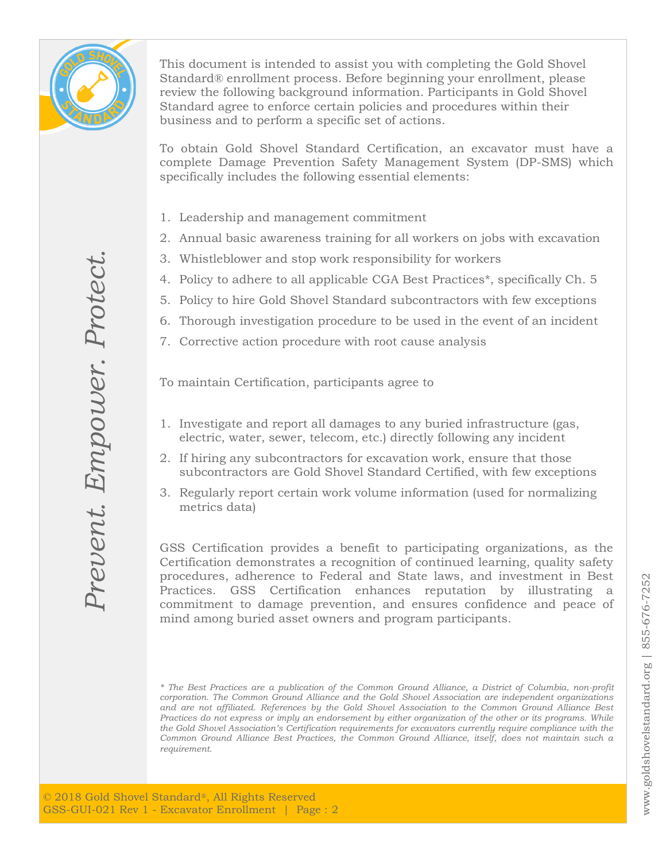

This document is intended to assist you with completing the Gold Shovel Standard® enrollment process. Before beginning your enrollment, please review the following background information. Participants in Gold Shovel Standard agree to enforce certain policies and procedures within their business and to perform a specific set of actions.

To obtain Gold Shovel Standard Certification, an excavator must have a complete Damage Prevention Safety Management System (DP-SMS) which specifically includes the following essential elements:

- 1. Leadership and management commitment
- 2. Annual basic awareness training for all workers on jobs with excavation
- 3. Whistleblower and stop work responsibility for workers
- 4. Policy to adhere to all applicable CGA Best Practices\*, specifically Ch. 5
- 5. Policy to hire Gold Shovel Standard subcontractors with few exceptions
- 6. Thorough investigation procedure to be used in the event of an incident
- 7. Corrective action procedure with root cause analysis

To maintain Certification, participants agree to

- 1. Investigate and report all damages to any buried infrastructure (gas, electric, water, sewer, telecom, etc.) directly following any incident
- 2. If hiring any subcontractors for excavation work, ensure that those subcontractors are Gold Shovel Standard Certified, with few exceptions
- 3. Regularly report certain work volume information (used for normalizing metrics data)

GSS Certification provides a benefit to participating organizations, as the Certification demonstrates a recognition of continued learning, quality safety procedures, adherence to Federal and State laws, and investment in Best Practices. GSS Certification enhances reputation by illustrating a commitment to damage prevention, and ensures confidence and peace of mind among buried asset owners and program participants.

*\* The Best Practices are a publication of the Common Ground Alliance, a District of Columbia, non-profit corporation. The Common Ground Alliance and the Gold Shovel Association are independent organizations and are not affiliated. References by the Gold Shovel Association to the Common Ground Alliance Best Practices do not express or imply an endorsement by either organization of the other or its programs. While the Gold Shovel Association's Certification requirements for excavators currently require compliance with the Common Ground Alliance Best Practices, the Common Ground Alliance, itself, does not maintain such a requirement.*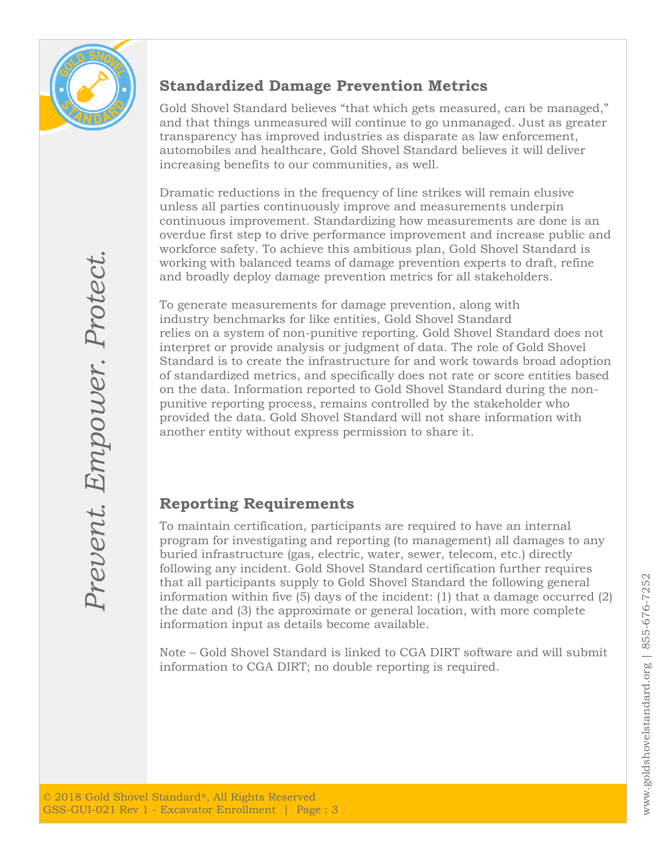

### **Standardized Damage Prevention Metrics**

Gold Shovel Standard believes "that which gets measured, can be managed," and that things unmeasured will continue to go unmanaged. Just as greater transparency has improved industries as disparate as law enforcement, automobiles and healthcare, Gold Shovel Standard believes it will deliver increasing benefits to our communities, as well.

Dramatic reductions in the frequency of line strikes will remain elusive unless all parties continuously improve and measurements underpin continuous improvement. Standardizing how measurements are done is an overdue first step to drive performance improvement and increase public and workforce safety. To achieve this ambitious plan, Gold Shovel Standard is working with balanced teams of damage prevention experts to draft, refine and broadly deploy damage prevention metrics for all stakeholders.

To generate measurements for damage prevention, along with industry benchmarks for like entities, Gold Shovel Standard relies on a system of non-punitive reporting. Gold Shovel Standard does not interpret or provide analysis or judgment of data. The role of Gold Shovel Standard is to create the infrastructure for and work towards broad adoption of standardized metrics, and specifically does not rate or score entities based on the data. Information reported to Gold Shovel Standard during the nonpunitive reporting process, remains controlled by the stakeholder who provided the data. Gold Shovel Standard will not share information with another entity without express permission to share it.

### **Reporting Requirements**

To maintain certification, participants are required to have an internal program for investigating and reporting (to management) all damages to any buried infrastructure (gas, electric, water, sewer, telecom, etc.) directly following any incident. Gold Shovel Standard certification further requires that all participants supply to Gold Shovel Standard the following general information within five (5) days of the incident: (1) that a damage occurred (2) the date and (3) the approximate or general location, with more complete information input as details become available.

Note – Gold Shovel Standard is linked to CGA DIRT software and will submit information to CGA DIRT; no double reporting is required.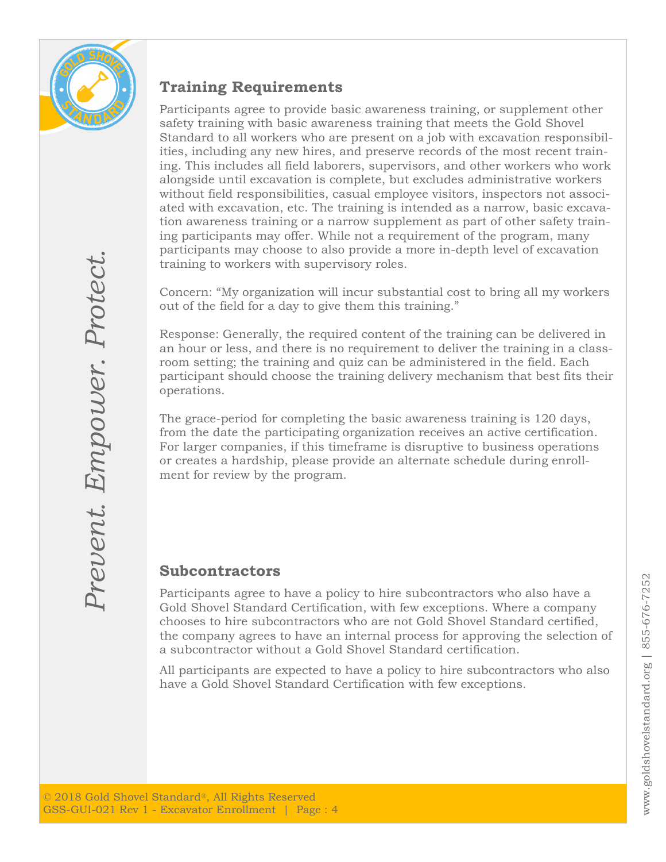

### **Training Requirements**

Participants agree to provide basic awareness training, or supplement other safety training with basic awareness training that meets the Gold Shovel Standard to all workers who are present on a job with excavation responsibilities, including any new hires, and preserve records of the most recent training. This includes all field laborers, supervisors, and other workers who work alongside until excavation is complete, but excludes administrative workers without field responsibilities, casual employee visitors, inspectors not associated with excavation, etc. The training is intended as a narrow, basic excavation awareness training or a narrow supplement as part of other safety training participants may offer. While not a requirement of the program, many participants may choose to also provide a more in-depth level of excavation training to workers with supervisory roles.

Concern: "My organization will incur substantial cost to bring all my workers out of the field for a day to give them this training."

Response: Generally, the required content of the training can be delivered in an hour or less, and there is no requirement to deliver the training in a classroom setting; the training and quiz can be administered in the field. Each participant should choose the training delivery mechanism that best fits their operations.

The grace-period for completing the basic awareness training is 120 days, from the date the participating organization receives an active certification. For larger companies, if this timeframe is disruptive to business operations or creates a hardship, please provide an alternate schedule during enrollment for review by the program.

#### **Subcontractors**

Participants agree to have a policy to hire subcontractors who also have a Gold Shovel Standard Certification, with few exceptions. Where a company chooses to hire subcontractors who are not Gold Shovel Standard certified, the company agrees to have an internal process for approving the selection of a subcontractor without a Gold Shovel Standard certification.

All participants are expected to have a policy to hire subcontractors who also have a Gold Shovel Standard Certification with few exceptions.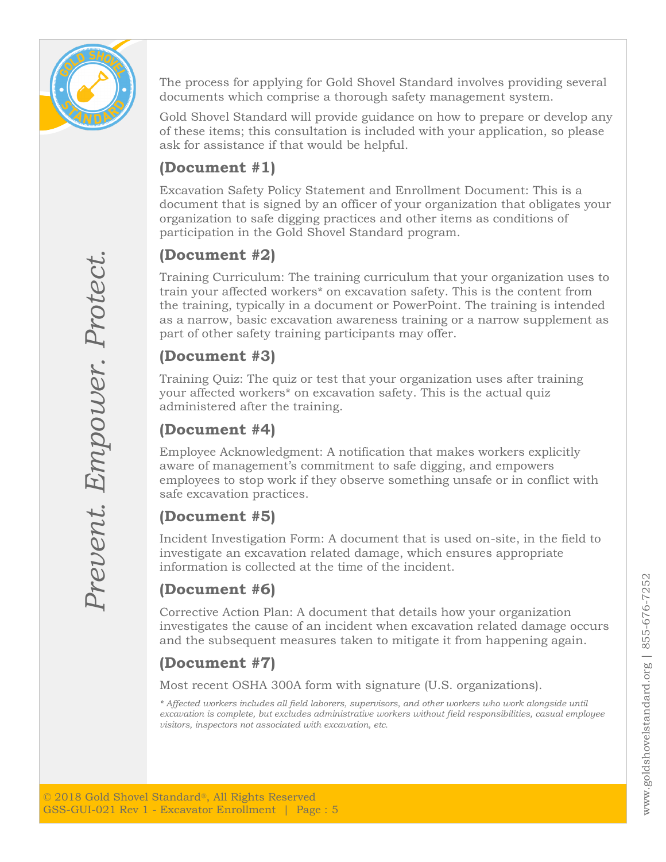

The process for applying for Gold Shovel Standard involves providing several documents which comprise a thorough safety management system.

Gold Shovel Standard will provide guidance on how to prepare or develop any of these items; this consultation is included with your application, so please ask for assistance if that would be helpful.

## **(Document #1)**

Excavation Safety Policy Statement and Enrollment Document: This is a document that is signed by an officer of your organization that obligates your organization to safe digging practices and other items as conditions of participation in the Gold Shovel Standard program.

# **(Document #2)**

Training Curriculum: The training curriculum that your organization uses to train your affected workers\* on excavation safety. This is the content from the training, typically in a document or PowerPoint. The training is intended as a narrow, basic excavation awareness training or a narrow supplement as part of other safety training participants may offer.

### **(Document #3)**

Training Quiz: The quiz or test that your organization uses after training your affected workers\* on excavation safety. This is the actual quiz administered after the training.

# **(Document #4)**

Employee Acknowledgment: A notification that makes workers explicitly aware of management's commitment to safe digging, and empowers employees to stop work if they observe something unsafe or in conflict with safe excavation practices.

# **(Document #5)**

Incident Investigation Form: A document that is used on-site, in the field to investigate an excavation related damage, which ensures appropriate information is collected at the time of the incident.

# **(Document #6)**

Corrective Action Plan: A document that details how your organization investigates the cause of an incident when excavation related damage occurs and the subsequent measures taken to mitigate it from happening again.

# **(Document #7)**

Most recent OSHA 300A form with signature (U.S. organizations).

*\* Affected workers includes all field laborers, supervisors, and other workers who work alongside until excavation is complete, but excludes administrative workers without field responsibilities, casual employee visitors, inspectors not associated with excavation, etc.*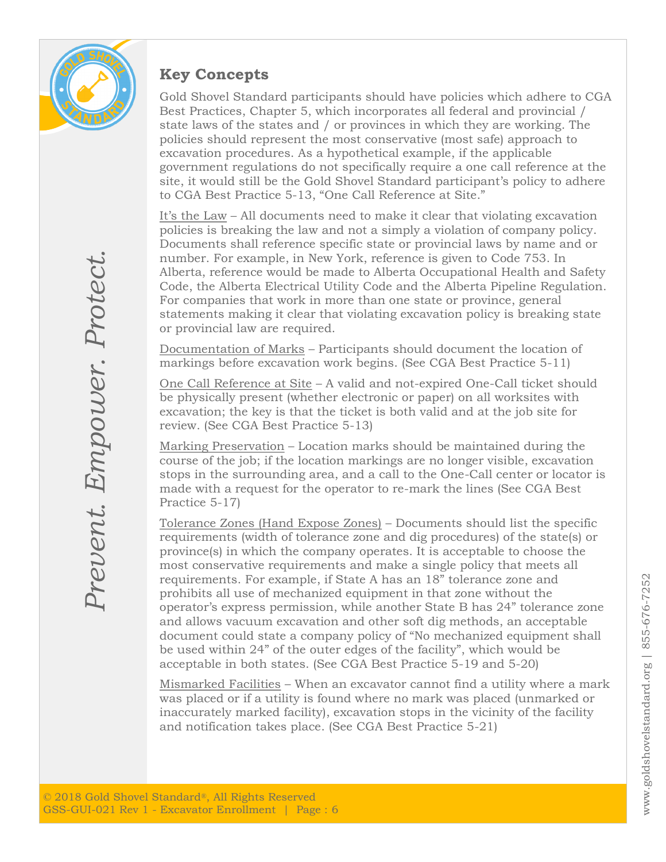

### **Key Concepts**

Gold Shovel Standard participants should have policies which adhere to CGA Best Practices, Chapter 5, which incorporates all federal and provincial / state laws of the states and / or provinces in which they are working. The policies should represent the most conservative (most safe) approach to excavation procedures. As a hypothetical example, if the applicable government regulations do not specifically require a one call reference at the site, it would still be the Gold Shovel Standard participant's policy to adhere to CGA Best Practice 5-13, "One Call Reference at Site."

It's the Law – All documents need to make it clear that violating excavation policies is breaking the law and not a simply a violation of company policy. Documents shall reference specific state or provincial laws by name and or number. For example, in New York, reference is given to Code 753. In Alberta, reference would be made to Alberta Occupational Health and Safety Code, the Alberta Electrical Utility Code and the Alberta Pipeline Regulation. For companies that work in more than one state or province, general statements making it clear that violating excavation policy is breaking state or provincial law are required.

Documentation of Marks – Participants should document the location of markings before excavation work begins. (See CGA Best Practice 5-11)

One Call Reference at Site – A valid and not-expired One-Call ticket should be physically present (whether electronic or paper) on all worksites with excavation; the key is that the ticket is both valid and at the job site for review. (See CGA Best Practice 5-13)

Marking Preservation – Location marks should be maintained during the course of the job; if the location markings are no longer visible, excavation stops in the surrounding area, and a call to the One-Call center or locator is made with a request for the operator to re-mark the lines (See CGA Best Practice 5-17)

Tolerance Zones (Hand Expose Zones) – Documents should list the specific requirements (width of tolerance zone and dig procedures) of the state(s) or province(s) in which the company operates. It is acceptable to choose the most conservative requirements and make a single policy that meets all requirements. For example, if State A has an 18" tolerance zone and prohibits all use of mechanized equipment in that zone without the operator's express permission, while another State B has 24" tolerance zone and allows vacuum excavation and other soft dig methods, an acceptable document could state a company policy of "No mechanized equipment shall be used within 24" of the outer edges of the facility", which would be acceptable in both states. (See CGA Best Practice 5-19 and 5-20)

Mismarked Facilities – When an excavator cannot find a utility where a mark was placed or if a utility is found where no mark was placed (unmarked or inaccurately marked facility), excavation stops in the vicinity of the facility and notification takes place. (See CGA Best Practice 5-21)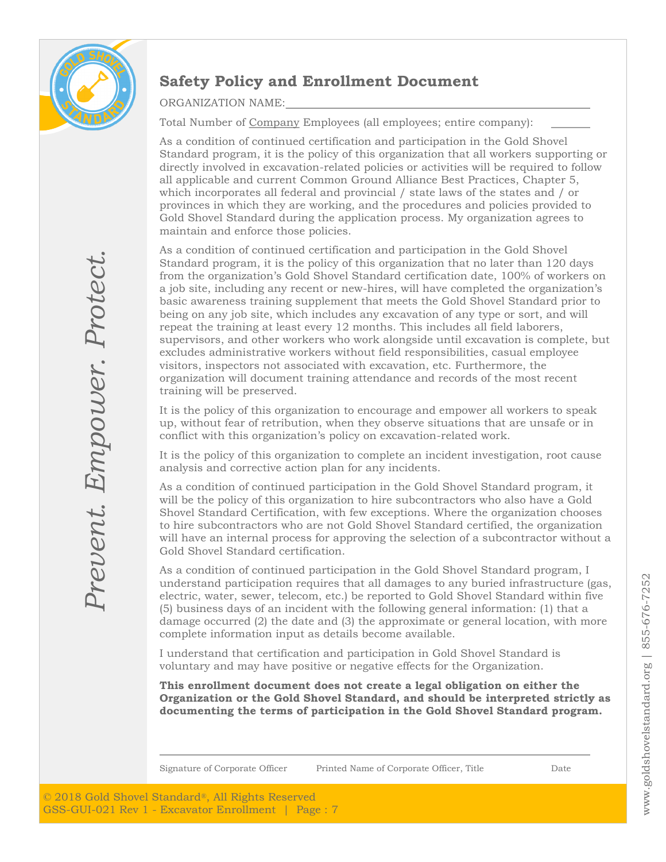

# **Safety Policy and Enrollment Document**

ORGANIZATION NAME:

Total Number of Company Employees (all employees; entire company):

As a condition of continued certification and participation in the Gold Shovel Standard program, it is the policy of this organization that all workers supporting or directly involved in excavation-related policies or activities will be required to follow all applicable and current Common Ground Alliance Best Practices, Chapter 5, which incorporates all federal and provincial / state laws of the states and / or provinces in which they are working, and the procedures and policies provided to Gold Shovel Standard during the application process. My organization agrees to maintain and enforce those policies.

As a condition of continued certification and participation in the Gold Shovel Standard program, it is the policy of this organization that no later than 120 days from the organization's Gold Shovel Standard certification date, 100% of workers on a job site, including any recent or new-hires, will have completed the organization's basic awareness training supplement that meets the Gold Shovel Standard prior to being on any job site, which includes any excavation of any type or sort, and will repeat the training at least every 12 months. This includes all field laborers, supervisors, and other workers who work alongside until excavation is complete, but excludes administrative workers without field responsibilities, casual employee visitors, inspectors not associated with excavation, etc. Furthermore, the organization will document training attendance and records of the most recent training will be preserved.

It is the policy of this organization to encourage and empower all workers to speak up, without fear of retribution, when they observe situations that are unsafe or in conflict with this organization's policy on excavation-related work.

It is the policy of this organization to complete an incident investigation, root cause analysis and corrective action plan for any incidents.

As a condition of continued participation in the Gold Shovel Standard program, it will be the policy of this organization to hire subcontractors who also have a Gold Shovel Standard Certification, with few exceptions. Where the organization chooses to hire subcontractors who are not Gold Shovel Standard certified, the organization will have an internal process for approving the selection of a subcontractor without a Gold Shovel Standard certification.

As a condition of continued participation in the Gold Shovel Standard program, I understand participation requires that all damages to any buried infrastructure (gas, electric, water, sewer, telecom, etc.) be reported to Gold Shovel Standard within five (5) business days of an incident with the following general information: (1) that a damage occurred (2) the date and (3) the approximate or general location, with more complete information input as details become available.

I understand that certification and participation in Gold Shovel Standard is voluntary and may have positive or negative effects for the Organization.

**This enrollment document does not create a legal obligation on either the Organization or the Gold Shovel Standard, and should be interpreted strictly as documenting the terms of participation in the Gold Shovel Standard program.**

Signature of Corporate Officer Printed Name of Corporate Officer, Title Date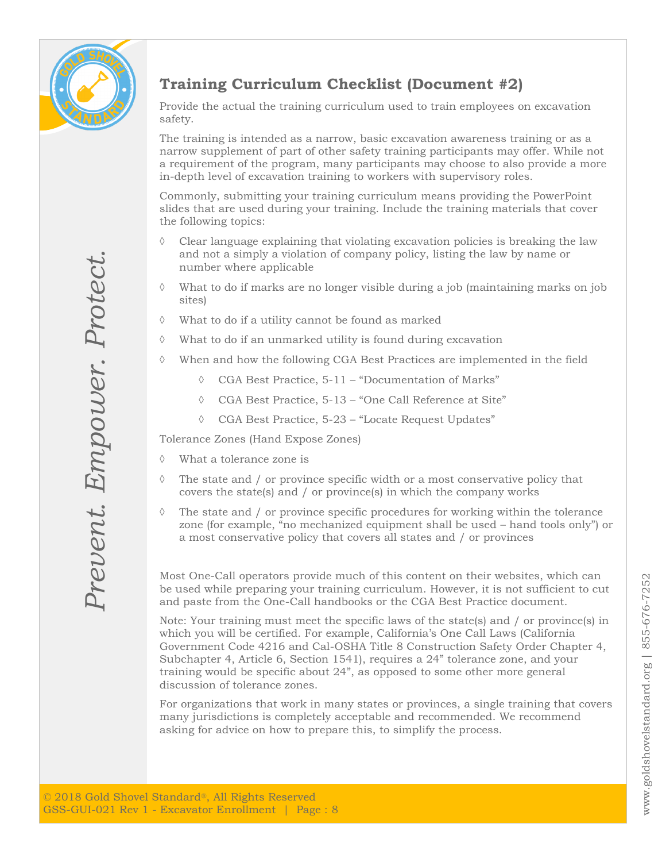

# **Training Curriculum Checklist (Document #2)**

Provide the actual the training curriculum used to train employees on excavation safety.

The training is intended as a narrow, basic excavation awareness training or as a narrow supplement of part of other safety training participants may offer. While not a requirement of the program, many participants may choose to also provide a more in-depth level of excavation training to workers with supervisory roles.

Commonly, submitting your training curriculum means providing the PowerPoint slides that are used during your training. Include the training materials that cover the following topics:

- $\Diamond$  Clear language explaining that violating excavation policies is breaking the law and not a simply a violation of company policy, listing the law by name or number where applicable
- $\Diamond$  What to do if marks are no longer visible during a job (maintaining marks on job sites)
- $\Diamond$  What to do if a utility cannot be found as marked
- What to do if an unmarked utility is found during excavation
- When and how the following CGA Best Practices are implemented in the field
	- CGA Best Practice, 5-11 "Documentation of Marks"
	- CGA Best Practice, 5-13 "One Call Reference at Site"
	- CGA Best Practice, 5-23 "Locate Request Updates"

Tolerance Zones (Hand Expose Zones)

- What a tolerance zone is
- $\Diamond$  The state and / or province specific width or a most conservative policy that covers the state(s) and / or province(s) in which the company works
- $\Diamond$  The state and / or province specific procedures for working within the tolerance zone (for example, "no mechanized equipment shall be used – hand tools only") or a most conservative policy that covers all states and / or provinces

Most One-Call operators provide much of this content on their websites, which can be used while preparing your training curriculum. However, it is not sufficient to cut and paste from the One-Call handbooks or the CGA Best Practice document.

Note: Your training must meet the specific laws of the state(s) and / or province(s) in which you will be certified. For example, California's One Call Laws (California Government Code 4216 and Cal-OSHA Title 8 Construction Safety Order Chapter 4, Subchapter 4, Article 6, Section 1541), requires a 24" tolerance zone, and your training would be specific about 24", as opposed to some other more general discussion of tolerance zones.

For organizations that work in many states or provinces, a single training that covers many jurisdictions is completely acceptable and recommended. We recommend asking for advice on how to prepare this, to simplify the process.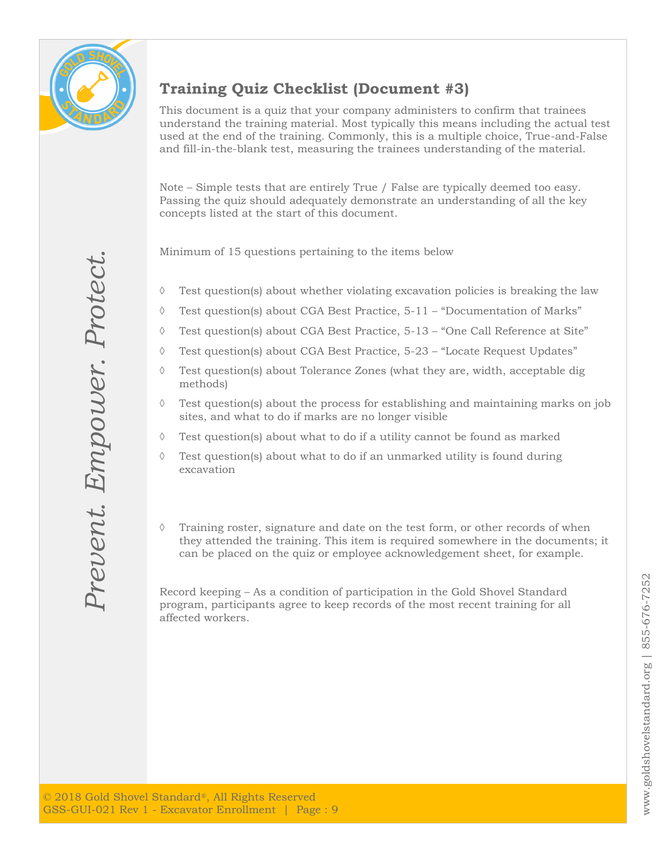

# **Training Quiz Checklist (Document #3)**

This document is a quiz that your company administers to confirm that trainees understand the training material. Most typically this means including the actual test used at the end of the training. Commonly, this is a multiple choice, True-and-False and fill-in-the-blank test, measuring the trainees understanding of the material.

Note – Simple tests that are entirely True / False are typically deemed too easy. Passing the quiz should adequately demonstrate an understanding of all the key concepts listed at the start of this document.

Minimum of 15 questions pertaining to the items below

- $\Diamond$  Test question(s) about whether violating excavation policies is breaking the law
- $\Diamond$  Test question(s) about CGA Best Practice, 5-11 "Documentation of Marks"
- $\Diamond$  Test question(s) about CGA Best Practice, 5-13 "One Call Reference at Site"
- $\Diamond$  Test question(s) about CGA Best Practice, 5-23 "Locate Request Updates"
- $\Diamond$  Test question(s) about Tolerance Zones (what they are, width, acceptable dig methods)
- $\Diamond$  Test question(s) about the process for establishing and maintaining marks on job sites, and what to do if marks are no longer visible
- $\Diamond$  Test question(s) about what to do if a utility cannot be found as marked
- $\Diamond$  Test question(s) about what to do if an unmarked utility is found during excavation
- $\Diamond$  Training roster, signature and date on the test form, or other records of when they attended the training. This item is required somewhere in the documents; it can be placed on the quiz or employee acknowledgement sheet, for example.

Record keeping – As a condition of participation in the Gold Shovel Standard program, participants agree to keep records of the most recent training for all affected workers.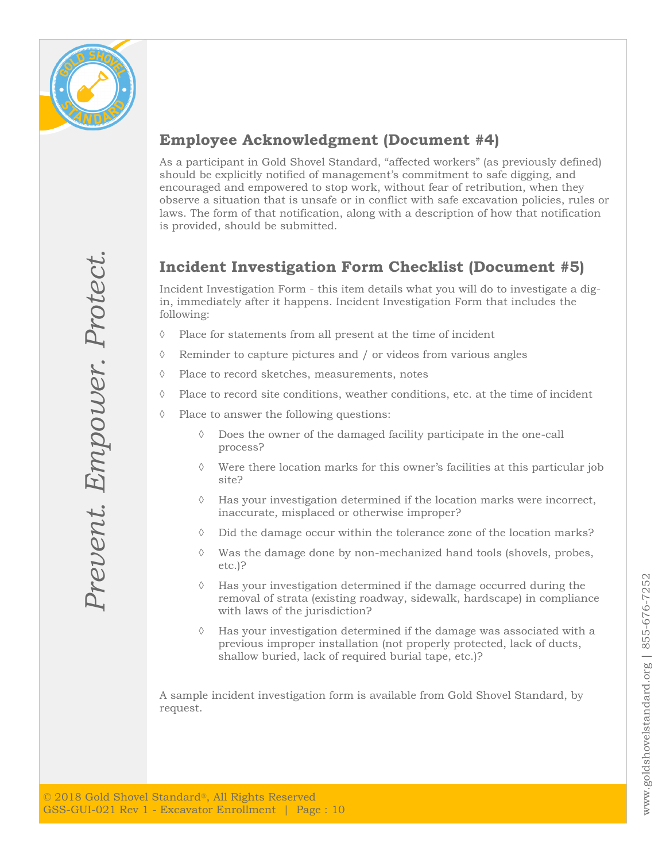

*Prevent. Empower. Protect.*

Prevent. Empower. Protect.

### **Employee Acknowledgment (Document #4)**

As a participant in Gold Shovel Standard, "affected workers" (as previously defined) should be explicitly notified of management's commitment to safe digging, and encouraged and empowered to stop work, without fear of retribution, when they observe a situation that is unsafe or in conflict with safe excavation policies, rules or laws. The form of that notification, along with a description of how that notification is provided, should be submitted.

# **Incident Investigation Form Checklist (Document #5)**

Incident Investigation Form - this item details what you will do to investigate a digin, immediately after it happens. Incident Investigation Form that includes the following:

- $\Diamond$  Place for statements from all present at the time of incident
- $\Diamond$  Reminder to capture pictures and / or videos from various angles
- $\Diamond$  Place to record sketches, measurements, notes
- $\Diamond$  Place to record site conditions, weather conditions, etc. at the time of incident
- $\Diamond$  Place to answer the following questions:
	- Does the owner of the damaged facility participate in the one-call process?
	- Were there location marks for this owner's facilities at this particular job site?
	- $\Diamond$  Has your investigation determined if the location marks were incorrect, inaccurate, misplaced or otherwise improper?
	- Did the damage occur within the tolerance zone of the location marks?
	- $\Diamond$  Was the damage done by non-mechanized hand tools (shovels, probes, etc.)?
	- $\Diamond$  Has your investigation determined if the damage occurred during the removal of strata (existing roadway, sidewalk, hardscape) in compliance with laws of the jurisdiction?
	- $\Diamond$  Has your investigation determined if the damage was associated with a previous improper installation (not properly protected, lack of ducts, shallow buried, lack of required burial tape, etc.)?

A sample incident investigation form is available from Gold Shovel Standard, by request.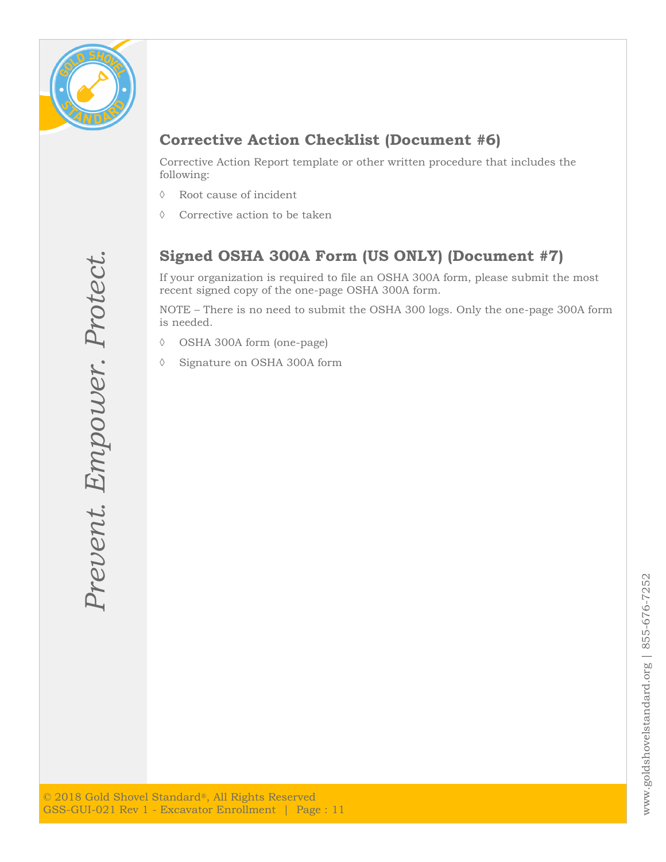

### **Corrective Action Checklist (Document #6)**

Corrective Action Report template or other written procedure that includes the following:

- Root cause of incident
- $\Diamond$  Corrective action to be taken

### **Signed OSHA 300A Form (US ONLY) (Document #7)**

If your organization is required to file an OSHA 300A form, please submit the most recent signed copy of the one-page OSHA 300A form.

NOTE – There is no need to submit the OSHA 300 logs. Only the one-page 300A form is needed.

- OSHA 300A form (one-page)
- Signature on OSHA 300A form